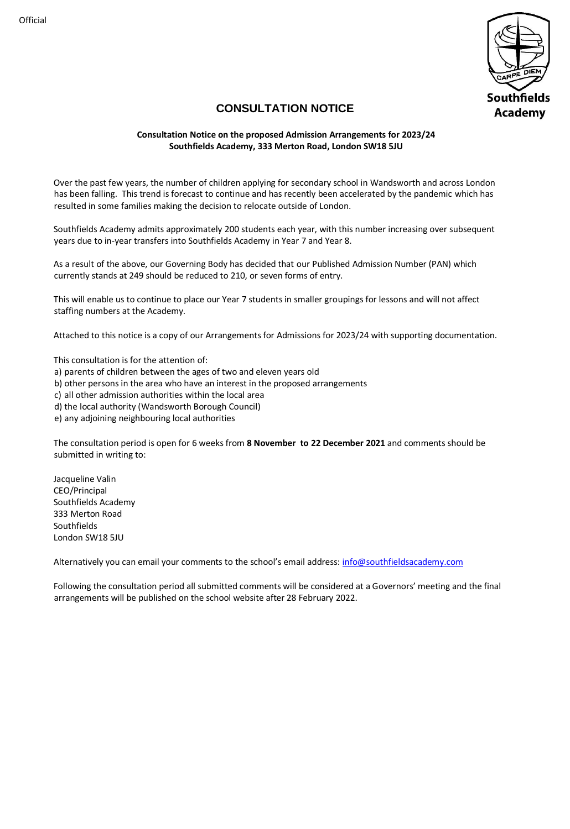

### **CONSULTATION NOTICE**

#### **Consultation Notice on the proposed Admission Arrangements for 2023/24 Southfields Academy, 333 Merton Road, London SW18 5JU**

Over the past few years, the number of children applying for secondary school in Wandsworth and across London has been falling. This trend is forecast to continue and has recently been accelerated by the pandemic which has resulted in some families making the decision to relocate outside of London.

Southfields Academy admits approximately 200 students each year, with this number increasing over subsequent years due to in-year transfers into Southfields Academy in Year 7 and Year 8.

As a result of the above, our Governing Body has decided that our Published Admission Number (PAN) which currently stands at 249 should be reduced to 210, or seven forms of entry.

This will enable us to continue to place our Year 7 students in smaller groupings for lessons and will not affect staffing numbers at the Academy.

Attached to this notice is a copy of our Arrangements for Admissions for 2023/24 with supporting documentation.

This consultation is for the attention of:

- a) parents of children between the ages of two and eleven years old
- b) other persons in the area who have an interest in the proposed arrangements
- c) all other admission authorities within the local area
- d) the local authority (Wandsworth Borough Council)

e) any adjoining neighbouring local authorities

The consultation period is open for 6 weeks from **8 November to 22 December 2021** and comments should be submitted in writing to:

Jacqueline Valin CEO/Principal Southfields Academy 333 Merton Road Southfields London SW18 5JU

Alternatively you can email your comments to the school's email address: [info@southfieldsacademy.com](mailto:info@southfieldsacademy.com)

Following the consultation period all submitted comments will be considered at a Governors' meeting and the final arrangements will be published on the school website after 28 February 2022.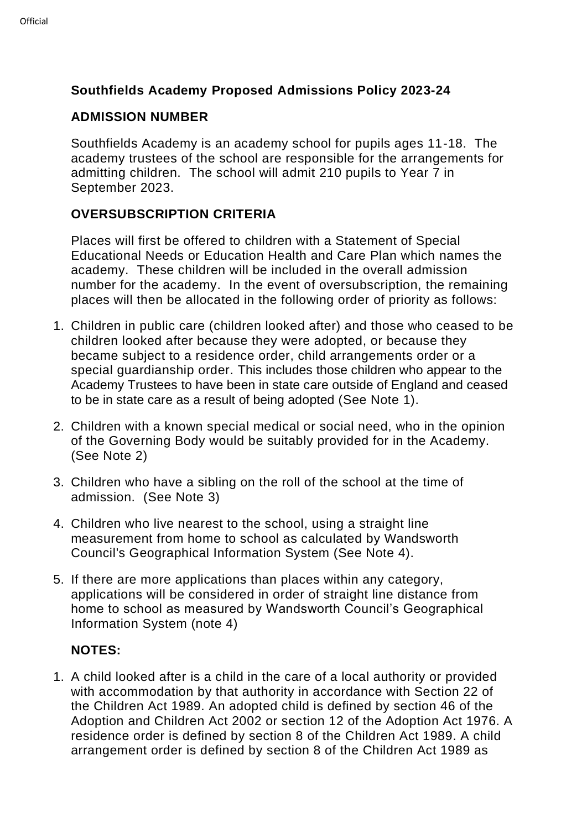# **Southfields Academy Proposed Admissions Policy 2023-24**

#### **ADMISSION NUMBER**

Southfields Academy is an academy school for pupils ages 11-18. The academy trustees of the school are responsible for the arrangements for admitting children. The school will admit 210 pupils to Year 7 in September 2023.

# **OVERSUBSCRIPTION CRITERIA**

Places will first be offered to children with a Statement of Special Educational Needs or Education Health and Care Plan which names the academy. These children will be included in the overall admission number for the academy. In the event of oversubscription, the remaining places will then be allocated in the following order of priority as follows:

- 1. Children in public care (children looked after) and those who ceased to be children looked after because they were adopted, or because they became subject to a residence order, child arrangements order or a special guardianship order. This includes those children who appear to the Academy Trustees to have been in state care outside of England and ceased to be in state care as a result of being adopted (See Note 1).
- 2. Children with a known special medical or social need, who in the opinion of the Governing Body would be suitably provided for in the Academy. (See Note 2)
- 3. Children who have a sibling on the roll of the school at the time of admission. (See Note 3)
- 4. Children who live nearest to the school, using a straight line measurement from home to school as calculated by Wandsworth Council's Geographical Information System (See Note 4).
- 5. If there are more applications than places within any category, applications will be considered in order of straight line distance from home to school as measured by Wandsworth Council's Geographical Information System (note 4)

### **NOTES:**

1. A child looked after is a child in the care of a local authority or provided with accommodation by that authority in accordance with Section 22 of the Children Act 1989. An adopted child is defined by section 46 of the Adoption and Children Act 2002 or section 12 of the Adoption Act 1976. A residence order is defined by section 8 of the Children Act 1989. A child arrangement order is defined by section 8 of the Children Act 1989 as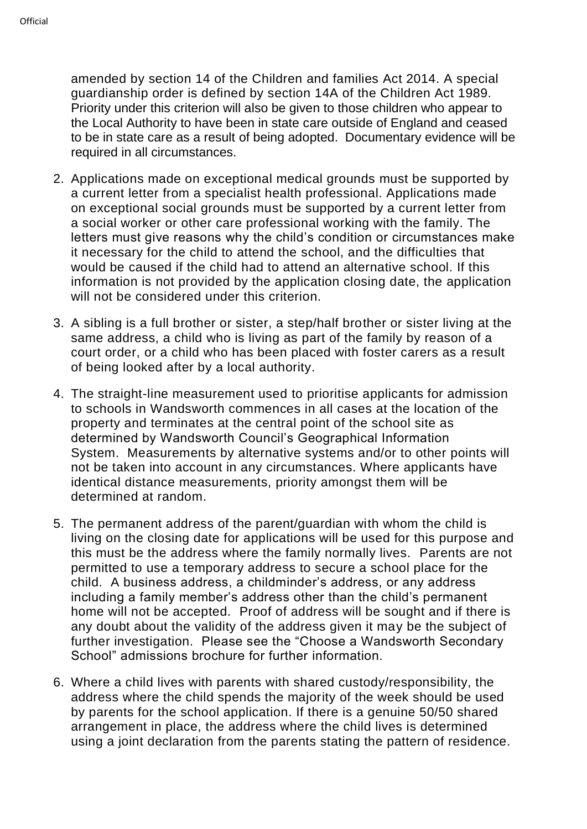amended by section 14 of the Children and families Act 2014. A special guardianship order is defined by section 14A of the Children Act 1989. Priority under this criterion will also be given to those children who appear to the Local Authority to have been in state care outside of England and ceased to be in state care as a result of being adopted. Documentary evidence will be required in all circumstances.

- 2. Applications made on exceptional medical grounds must be supported by a current letter from a specialist health professional. Applications made on exceptional social grounds must be supported by a current letter from a social worker or other care professional working with the family. The letters must give reasons why the child's condition or circumstances make it necessary for the child to attend the school, and the difficulties that would be caused if the child had to attend an alternative school. If this information is not provided by the application closing date, the application will not be considered under this criterion.
- 3. A sibling is a full brother or sister, a step/half brother or sister living at the same address, a child who is living as part of the family by reason of a court order, or a child who has been placed with foster carers as a result of being looked after by a local authority.
- 4. The straight-line measurement used to prioritise applicants for admission to schools in Wandsworth commences in all cases at the location of the property and terminates at the central point of the school site as determined by Wandsworth Council's Geographical Information System. Measurements by alternative systems and/or to other points will not be taken into account in any circumstances. Where applicants have identical distance measurements, priority amongst them will be determined at random.
- 5. The permanent address of the parent/guardian with whom the child is living on the closing date for applications will be used for this purpose and this must be the address where the family normally lives. Parents are not permitted to use a temporary address to secure a school place for the child. A business address, a childminder's address, or any address including a family member's address other than the child's permanent home will not be accepted. Proof of address will be sought and if there is any doubt about the validity of the address given it may be the subject of further investigation. Please see the "Choose a Wandsworth Secondary School" admissions brochure for further information.
- 6. Where a child lives with parents with shared custody/responsibility, the address where the child spends the majority of the week should be used by parents for the school application. If there is a genuine 50/50 shared arrangement in place, the address where the child lives is determined using a joint declaration from the parents stating the pattern of residence.